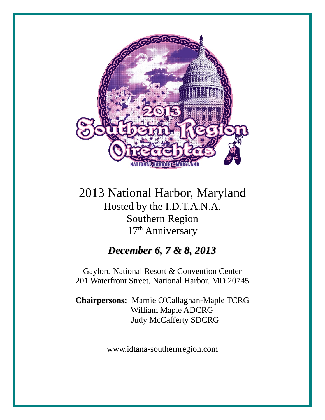

2013 National Harbor, Maryland Hosted by the I.D.T.A.N.A. Southern Region 17<sup>th</sup> Anniversary

### *December 6, 7 & 8, 2013*

Gaylord National Resort & Convention Center 201 Waterfront Street, National Harbor, MD 20745

**Chairpersons:** Marnie O'Callaghan-Maple TCRG William Maple ADCRG Judy McCafferty SDCRG

www.idtana-southernregion.com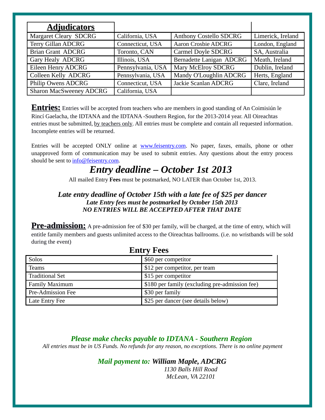| <u>Adjudicators</u>            |                   |                               |                   |
|--------------------------------|-------------------|-------------------------------|-------------------|
| <b>Margaret Cleary SDCRG</b>   | California, USA   | <b>Anthony Costello SDCRG</b> | Limerick, Ireland |
| <b>Terry Gillan ADCRG</b>      | Connecticut, USA  | <b>Aaron Crosbie ADCRG</b>    | London, England   |
| <b>Brian Grant ADCRG</b>       | Toronto, CAN      | Carmel Doyle SDCRG            | SA, Australia     |
| Gary Healy ADCRG               | Illinois, USA     | Bernadette Lanigan ADCRG      | Meath, Ireland    |
| Eileen Henry ADCRG             | Pennsylvania, USA | Mary McElroy SDCRG            | Dublin, Ireland   |
| Colleen Kelly ADCRG            | Pennsylvania, USA | Mandy O'Loughlin ADCRG        | Herts, England    |
| <b>Philip Owens ADCRG</b>      | Connecticut, USA  | Jackie Scanlan ADCRG          | Clare, Ireland    |
| <b>Sharon MacSweeney ADCRG</b> | California, USA   |                               |                   |

**Entries:** Entries will be accepted from teachers who are members in good standing of An Coimisiún le Rincí Gaelacha, the IDTANA and the IDTANA -Southern Region, for the 2013-2014 year. All Oireachtas entries must be submitted, by teachers only. All entries must be complete and contain all requested information. Incomplete entries will be returned.

Entries will be accepted ONLY online at **www.feisentry.com**. No paper, faxes, emails, phone or other unapproved form of communication may be used to submit entries. Any questions about the entry process should be sent to  $info@feisentry.com$ .

### *Entry deadline – October 1st 2013*

All mailed Entry **Fees** must be postmarked, NO LATER than October 1st, 2013.

#### *Late entry deadline of October 15th with a late fee of \$25 per dancer Late Entry fees must be postmarked by October 15th 2013 NO ENTRIES WILL BE ACCEPTED AFTER THAT DATE*

**Pre-admission:** A pre-admission fee of \$30 per family, will be charged, at the time of entry, which will entitle family members and guests unlimited access to the Oireachtas ballrooms. (i.e. no wristbands will be sold during the event)

| <b>Entry Fees</b>                                                |                                     |  |  |
|------------------------------------------------------------------|-------------------------------------|--|--|
| Solos<br>\$60 per competitor                                     |                                     |  |  |
| \$12 per competitor, per team<br><b>Teams</b>                    |                                     |  |  |
| <b>Traditional Set</b>                                           | \$15 per competitor                 |  |  |
| \$180 per family (excluding pre-admission fee)<br>Family Maximum |                                     |  |  |
| Pre-Admission Fee<br>\$30 per family                             |                                     |  |  |
| Late Entry Fee                                                   | \$25 per dancer (see details below) |  |  |

### *Please make checks payable to IDTANA - Southern Region*

*All entries must be in US Funds. No refunds for any reason, no exceptions. There is no online payment*

### *Mail payment to: William Maple, ADCRG*

*1130 Balls Hill Road McLean, VA 22101*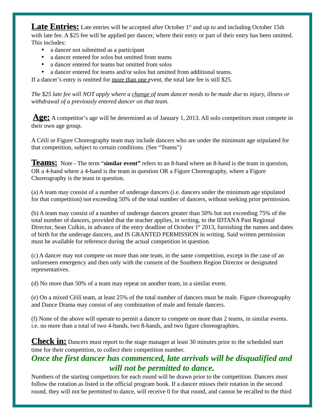**Late Entries:** Late entries will be accepted after October 1<sup>st</sup> and up to and including October 15th with late fee. A \$25 fee will be applied per dancer, where their entry or part of their entry has been omitted. This includes:

- a dancer not submitted as a participant
- a dancer entered for solos but omitted from teams
- a dancer entered for teams but omitted from solos
- a dancer entered for teams and/or solos but omitted from additional teams.

If a dancer's entry is omitted for more than one event, the total late fee is still \$25.

*The \$25 late fee will NOT apply where a change of team dancer needs to be made due to injury, illness or withdrawal of a previously entered dancer on that team.*

**Age:** A competitor's age will be determined as of January 1, 2013. All solo competitors must compete in their own age group.

A Céilí or Figure Choreography team may include dancers who are under the minimum age stipulated for that competition, subject to certain conditions. (See "Teams")

**Teams:** Note - The term "**similar event"** refers to an 8-hand where an 8-hand is the team in question, OR a 4-hand where a 4-hand is the team in question OR a Figure Choreography, where a Figure Choreography is the team in question.

(a) A team may consist of a number of underage dancers (i.e. dancers under the minimum age stipulated for that competition) not exceeding 50% of the total number of dancers, without seeking prior permission.

(b) A team may consist of a number of underage dancers greater than 50% but not exceeding 75% of the total number of dancers, provided that the teacher applies, in writing, to the IDTANA Past Regional Director, Sean Culkin, in advance of the entry deadline of October 1<sup>st</sup> 2013, furnishing the names and dates of birth for the underage dancers, and IS GRANTED PERMISSION in writing. Said written permission must be available for reference during the actual competition in question.

(c) A dancer may not compete on more than one team, in the same competition, except in the case of an unforeseen emergency and then only with the consent of the Southern Region Director or designated representatives.

(d) No more than 50% of a team may repeat on another team, in a similar event.

(e) On a mixed Céilí team, at least 25% of the total number of dancers must be male. Figure choreography and Dance Drama may consist of any combination of male and female dancers.

(f) None of the above will operate to permit a dancer to compete on more than 2 teams, in similar events. i.e. no more than a total of two 4-hands, two 8-hands, and two figure choreographies.

**Check in:** Dancers must report to the stage manager at least 30 minutes prior to the scheduled start time for their competition, to collect their competition number.

### *Once the first dancer has commenced, late arrivals will be disqualified and will not be permitted to dance.*

Numbers of the starting competitors for each round will be drawn prior to the competition. Dancers must follow the rotation as listed in the official program book. If a dancer misses their rotation in the second round, they will not be permitted to dance, will receive 0 for that round, and cannot be recalled to the third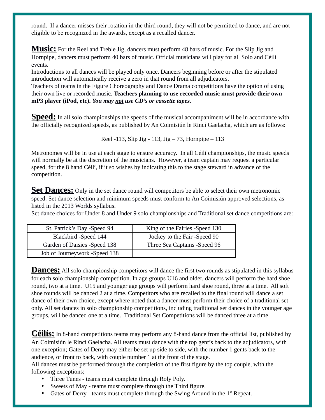round. If a dancer misses their rotation in the third round, they will not be permitted to dance, and are not eligible to be recognized in the awards, except as a recalled dancer.

**Music:** For the Reel and Treble Jig, dancers must perform 48 bars of music. For the Slip Jig and Hornpipe, dancers must perform 40 bars of music. Official musicians will play for all Solo and Céilí events.

Introductions to all dances will be played only once. Dancers beginning before or after the stipulated introduction will automatically receive a zero in that round from all adjudicators.

Teachers of teams in the Figure Choreography and Dance Drama competitions have the option of using their own live or recorded music. **Teachers planning to use recorded music must provide their own mP3 player (iPod, etc).** *You may not use CD's or cassette tapes.*

**Speed:** In all solo championships the speeds of the musical accompaniment will be in accordance with the officially recognized speeds, as published by An Coimisiún le Rincí Gaelacha, which are as follows:

Reel -113, Slip Jig - 113, Jig – 73, Hornpipe – 113

Metronomes will be in use at each stage to ensure accuracy. In all Céilí championships, the music speeds will normally be at the discretion of the musicians. However, a team captain may request a particular speed, for the 8 hand Céilí, if it so wishes by indicating this to the stage steward in advance of the competition.

**Set Dances:** Only in the set dance round will competitors be able to select their own metronomic speed. Set dance selection and minimum speeds must conform to An Coimisiún approved selections, as listed in the 2013 Worlds syllabus.

Set dance choices for Under 8 and Under 9 solo championships and Traditional set dance competitions are:

| St. Patrick's Day -Speed 94   | King of the Fairies -Speed 130 |
|-------------------------------|--------------------------------|
| Blackbird -Speed 144          | Jockey to the Fair -Speed 90   |
| Garden of Daisies -Speed 138  | Three Sea Captains - Speed 96  |
| Job of Journeywork -Speed 138 |                                |

**Dances:** All solo championship competitors will dance the first two rounds as stipulated in this syllabus for each solo championship competition. In age groups U16 and older, dancers will perform the hard shoe round, two at a time. U15 and younger age groups will perform hard shoe round, three at a time. All soft shoe rounds will be danced 2 at a time. Competitors who are recalled to the final round will dance a set dance of their own choice, except where noted that a dancer must perform their choice of a traditional set only. All set dances in solo championship competitions, including traditional set dances in the younger age groups, will be danced one at a time. Traditional Set Competitions will be danced three at a time.

**Céilís:** In 8-hand competitions teams may perform any 8-hand dance from the official list, published by An Coimisiún le Rincí Gaelacha. All teams must dance with the top gent's back to the adjudicators, with one exception; Gates of Derry may either be set up side to side, with the number 1 gents back to the audience, or front to back, with couple number 1 at the front of the stage.

All dances must be performed through the completion of the first figure by the top couple, with the following exceptions;

- Three Tunes teams must complete through Roly Poly.
- Sweets of May teams must complete through the Third figure.
- Gates of Derry teams must complete through the Swing Around in the 1<sup>st</sup> Repeat.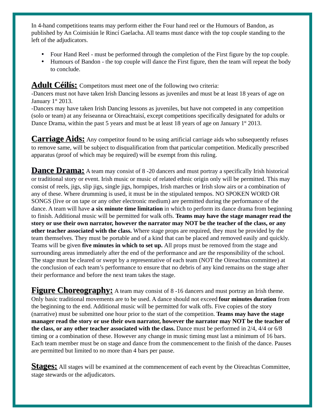In 4-hand competitions teams may perform either the Four hand reel or the Humours of Bandon, as published by An Coimisiún le Rincí Gaelacha. All teams must dance with the top couple standing to the left of the adjudicators.

- Four Hand Reel must be performed through the completion of the First figure by the top couple.
- Humours of Bandon the top couple will dance the First figure, then the team will repeat the body to conclude.

#### **Adult Céilís:** Competitors must meet one of the following two criteria:

-Dancers must not have taken Irish Dancing lessons as juveniles and must be at least 18 years of age on January  $1<sup>st</sup>$  2013.

-Dancers may have taken Irish Dancing lessons as juveniles, but have not competed in any competition (solo or team) at any feiseanna or Oireachtaisí, except competitions specifically designated for adults or Dance Drama, within the past 5 years and must be at least 18 years of age on January  $1<sup>st</sup>$  2013.

**Carriage Aids:** Any competitor found to be using artificial carriage aids who subsequently refuses to remove same, will be subject to disqualification from that particular competition. Medically prescribed apparatus (proof of which may be required) will be exempt from this ruling.

**Dance Drama:** A team may consist of 8 -20 dancers and must portray a specifically Irish historical or traditional story or event. Irish music or music of related ethnic origin only will be permitted. This may consist of reels, jigs, slip jigs, single jigs, hornpipes, Irish marches or Irish slow airs or a combination of any of these. Where drumming is used, it must be in the stipulated tempos. NO SPOKEN WORD OR SONGS (live or on tape or any other electronic medium) are permitted during the performance of the dance. A team will have **a six minute time limitation** in which to perform its dance drama from beginning to finish. Additional music will be permitted for walk offs. **Teams may have the stage manager read the story or use their own narrator, however the narrator may NOT be the teacher of the class, or any other teacher associated with the class.** Where stage props are required, they must be provided by the team themselves. They must be portable and of a kind that can be placed and removed easily and quickly. Teams will be given **five minutes in which to set up.** All props must be removed from the stage and surrounding areas immediately after the end of the performance and are the responsibility of the school. The stage must be cleared or swept by a representative of each team (NOT the Oireachtas committee) at the conclusion of each team's performance to ensure that no debris of any kind remains on the stage after their performance and before the next team takes the stage.

**Figure Choreography:** A team may consist of 8-16 dancers and must portray an Irish theme. Only basic traditional movements are to be used. A dance should not exceed **four minutes duration** from the beginning to the end. Additional music will be permitted for walk offs. Five copies of the story (narrative) must be submitted one hour prior to the start of the competition. **Teams may have the stage manager read the story or use their own narrator, however the narrator may NOT be the teacher of the class, or any other teacher associated with the class.** Dance must be performed in 2/4, 4/4 or 6/8 timing or a combination of these. However any change in music timing must last a minimum of 16 bars. Each team member must be on stage and dance from the commencement to the finish of the dance. Pauses are permitted but limited to no more than 4 bars per pause.

**Stages:** All stages will be examined at the commencement of each event by the Oireachtas Committee, stage stewards or the adjudicators.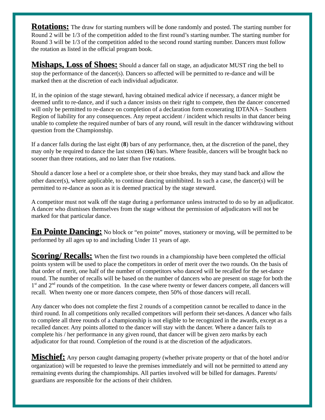**Rotations:** The draw for starting numbers will be done randomly and posted. The starting number for Round 2 will be 1/3 of the competition added to the first round's starting number. The starting number for Round 3 will be 1/3 of the competition added to the second round starting number. Dancers must follow the rotation as listed in the official program book.

**Mishaps, Loss of Shoes:** Should a dancer fall on stage, an adjudicator MUST ring the bell to stop the performance of the dancer(s). Dancers so affected will be permitted to re-dance and will be marked then at the discretion of each individual adjudicator.

If, in the opinion of the stage steward, having obtained medical advice if necessary, a dancer might be deemed unfit to re-dance, and if such a dancer insists on their right to compete, then the dancer concerned will only be permitted to re-dance on completion of a declaration form exonerating IDTANA – Southern Region of liability for any consequences. Any repeat accident / incident which results in that dancer being unable to complete the required number of bars of any round, will result in the dancer withdrawing without question from the Championship.

If a dancer falls during the last eight (**8**) bars of any performance, then, at the discretion of the panel, they may only be required to dance the last sixteen (**16**) bars. Where feasible, dancers will be brought back no sooner than three rotations, and no later than five rotations.

Should a dancer lose a heel or a complete shoe, or their shoe breaks, they may stand back and allow the other dancer(s), where applicable, to continue dancing uninhibited. In such a case, the dancer(s) will be permitted to re-dance as soon as it is deemed practical by the stage steward.

A competitor must not walk off the stage during a performance unless instructed to do so by an adjudicator. A dancer who dismisses themselves from the stage without the permission of adjudicators will not be marked for that particular dance.

**En Pointe Dancing:** No block or "en pointe" moves, stationery or moving, will be permitted to be performed by all ages up to and including Under 11 years of age.

**Scoring/ Recalls:** When the first two rounds in a championship have been completed the official points system will be used to place the competitors in order of merit over the two rounds. On the basis of that order of merit, one half of the number of competitors who danced will be recalled for the set-dance round. The number of recalls will be based on the number of dancers who are present on stage for both the 1<sup>st</sup> and 2<sup>nd</sup> rounds of the competition. In the case where twenty or fewer dancers compete, all dancers will recall. When twenty one or more dancers compete, then 50% of those dancers will recall.

Any dancer who does not complete the first 2 rounds of a competition cannot be recalled to dance in the third round. In all competitions only recalled competitors will perform their set-dances. A dancer who fails to complete all three rounds of a championship is not eligible to be recognized in the awards, except as a recalled dancer. Any points allotted to the dancer will stay with the dancer. Where a dancer fails to complete his / her performance in any given round, that dancer will be given zero marks by each adjudicator for that round. Completion of the round is at the discretion of the adjudicators.

**Mischief:** Any person caught damaging property (whether private property or that of the hotel and/or organization) will be requested to leave the premises immediately and will not be permitted to attend any remaining events during the championships. All parties involved will be billed for damages. Parents/ guardians are responsible for the actions of their children.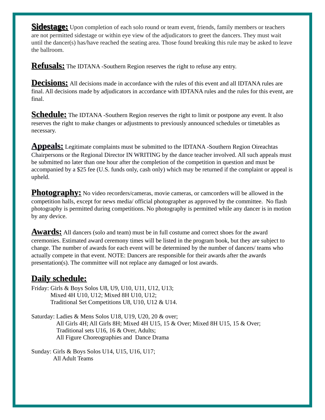**Sidestage:** Upon completion of each solo round or team event, friends, family members or teachers are not permitted sidestage or within eye view of the adjudicators to greet the dancers. They must wait until the dancer(s) has/have reached the seating area. Those found breaking this rule may be asked to leave the ballroom.

**Refusals:** The IDTANA -Southern Region reserves the right to refuse any entry.

**Decisions:** All decisions made in accordance with the rules of this event and all IDTANA rules are final. All decisions made by adjudicators in accordance with IDTANA rules and the rules for this event, are final.

**Schedule:** The IDTANA -Southern Region reserves the right to limit or postpone any event. It also reserves the right to make changes or adjustments to previously announced schedules or timetables as necessary.

**Appeals:** Legitimate complaints must be submitted to the IDTANA -Southern Region Oireachtas Chairpersons or the Regional Director IN WRITING by the dance teacher involved. All such appeals must be submitted no later than one hour after the completion of the competition in question and must be accompanied by a \$25 fee (U.S. funds only, cash only) which may be returned if the complaint or appeal is upheld.

**Photography:** No video recorders/cameras, movie cameras, or camcorders will be allowed in the competition halls, except for news media/ official photographer as approved by the committee. No flash photography is permitted during competitions. No photography is permitted while any dancer is in motion by any device.

**Awards:** All dancers (solo and team) must be in full costume and correct shoes for the award ceremonies. Estimated award ceremony times will be listed in the program book, but they are subject to change. The number of awards for each event will be determined by the number of dancers/ teams who actually compete in that event. NOTE: Dancers are responsible for their awards after the awards presentation(s). The committee will not replace any damaged or lost awards.

### **Daily schedule:**

Friday: Girls & Boys Solos U8, U9, U10, U11, U12, U13; Mixed 4H U10, U12; Mixed 8H U10, U12; Traditional Set Competitions U8, U10, U12 & U14.

Saturday: Ladies & Mens Solos U18, U19, U20, 20 & over; All Girls 4H; All Girls 8H; Mixed 4H U15, 15 & Over; Mixed 8H U15, 15 & Over; Traditional sets U16, 16 & Over, Adults; All Figure Choreographies and Dance Drama

Sunday: Girls & Boys Solos U14, U15, U16, U17; All Adult Teams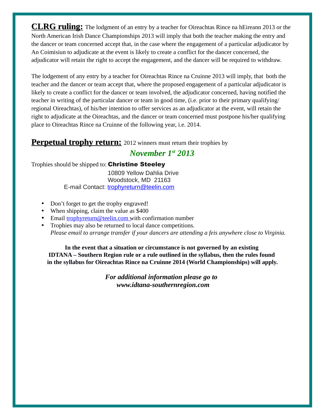**CLRG ruling:** The lodgment of an entry by a teacher for Oireachtas Rince na hEireann 2013 or the North American Irish Dance Championships 2013 will imply that both the teacher making the entry and the dancer or team concerned accept that, in the case where the engagement of a particular adjudicator by An Coimisiun to adjudicate at the event is likely to create a conflict for the dancer concerned, the adjudicator will retain the right to accept the engagement, and the dancer will be required to withdraw.

The lodgement of any entry by a teacher for Oireachtas Rince na Cruinne 2013 will imply, that both the teacher and the dancer or team accept that, where the proposed engagement of a particular adjudicator is likely to create a conflict for the dancer or team involved, the adjudicator concerned, having notified the teacher in writing of the particular dancer or team in good time, (i.e. prior to their primary qualifying/ regional Oireachtas), of his/her intention to offer services as an adjudicator at the event, will retain the right to adjudicate at the Oireachtas, and the dancer or team concerned must postpone his/her qualifying place to Oireachtas Rince na Cruinne of the following year, i.e. 2014.

### **Perpetual trophy return:** 2012 winners must return their trophies by

### *November 1st 2013*

Trophies should be shipped to: Christine Steeley

10809 Yellow Dahlia Drive Woodstock, MD 21163 E-mail Contact: [trophyreturn@teelin.com](mailto:trophyreturn@teelin.com)

- Don't forget to get the trophy engraved!
- When shipping, claim the value as \$400
- Email [trophyreturn@teelin.com](mailto:trophyreturn@teelin.com) with confirmation number
- Trophies may also be returned to local dance competitions. *Please email to arrange transfer if your dancers are attending a feis anywhere close to Virginia.*

**In the event that a situation or circumstance is not governed by an existing IDTANA – Southern Region rule or a rule outlined in the syllabus, then the rules found in the syllabus for Oireachtas Rince na Cruinne 2014 (World Championships) will apply.**

> *For additional information please go to www.idtana-southernregion.com*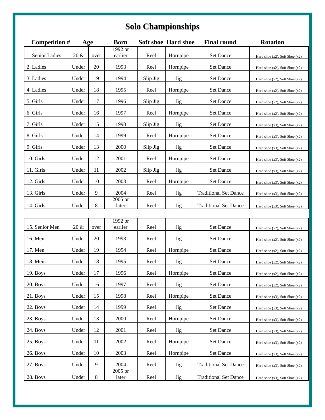# **Solo Championships**

| <b>Competition #</b><br>Age |       | <b>Born</b> |                    | <b>Soft shoe Hard shoe</b> | <b>Final round</b> | <b>Rotation</b>              |                                     |
|-----------------------------|-------|-------------|--------------------|----------------------------|--------------------|------------------------------|-------------------------------------|
| 1. Senior Ladies            | 20 &  | over        | 1992 or<br>earlier | Reel                       | Hornpipe           | Set Dance                    | Hard shoe (x2), Soft Shoe (x2)      |
| 2. Ladies                   | Under | 20          | 1993               | Reel                       | Hornpipe           | Set Dance                    | Hard shoe (x2), Soft Shoe (x2)      |
| 3. Ladies                   | Under | 19          | 1994               | Slip Jig                   | <b>Jig</b>         | Set Dance                    | Hard shoe (x2), Soft Shoe (x2)      |
| 4. Ladies                   | Under | 18          | 1995               | Reel                       | Hornpipe           | Set Dance                    | Hard shoe (x2), Soft Shoe (x2)      |
| 5. Girls                    | Under | 17          | 1996               | Slip Jig                   | <b>Jig</b>         | Set Dance                    | Hard shoe (x2), Soft Shoe (x2)      |
| 6. Girls                    | Under | 16          | 1997               | Reel                       | Hornpipe           | Set Dance                    | Hard shoe $(x2)$ , Soft Shoe $(x2)$ |
| 7. Girls                    | Under | 15          | 1998               | Slip Jig                   | <b>Jig</b>         | Set Dance                    | Hard shoe (x3), Soft Shoe (x2)      |
| 8. Girls                    | Under | 14          | 1999               | Reel                       | Hornpipe           | Set Dance                    | Hard shoe $(x3)$ , Soft Shoe $(x2)$ |
| 9. Girls                    | Under | 13          | 2000               | Slip Jig                   | Jig                | Set Dance                    | Hard shoe (x3), Soft Shoe (x2)      |
| 10. Girls                   | Under | 12          | 2001               | Reel                       | Hornpipe           | Set Dance                    | Hard shoe (x3), Soft Shoe (x2)      |
| 11. Girls                   | Under | 11          | 2002               | Slip Jig                   | <b>Jig</b>         | <b>Set Dance</b>             | Hard shoe $(x3)$ , Soft Shoe $(x2)$ |
| 12. Girls                   | Under | 10          | 2003               | Reel                       | Hornpipe           | Set Dance                    | Hard shoe (x3), Soft Shoe (x2)      |
| 13. Girls                   | Under | 9           | 2004               | Reel                       | <b>Jig</b>         | <b>Traditional Set Dance</b> | Hard shoe (x3), Soft Shoe (x2)      |
| 14. Girls                   | Under | 8           | 2005 or<br>later   | Reel                       | Jig                | <b>Traditional Set Dance</b> | Hard shoe $(x3)$ , Soft Shoe $(x2)$ |
|                             |       |             |                    |                            |                    |                              |                                     |
| 15. Senior Men              | 20 &  | over        | 1992 or<br>earlier | Reel                       | Jig                | <b>Set Dance</b>             | Hard shoe (x2), Soft Shoe (x2)      |
| 16. Men                     | Under | 20          | 1993               | Reel                       | Jig                | Set Dance                    | Hard shoe (x2), Soft Shoe (x2)      |
| 17. Men                     | Under | 19          | 1994               | Reel                       | Hornpipe           | Set Dance                    | Hard shoe (x2), Soft Shoe (x2)      |
| 18. Men                     | Under | 18          | 1995               | Reel                       | <b>Jig</b>         | <b>Set Dance</b>             | Hard shoe (x2), Soft Shoe (x2)      |
| 19. Boys                    | Under | 17          | 1996               | Reel                       | Hornpipe           | <b>Set Dance</b>             | Hard shoe (x2), Soft Shoe (x2)      |
| 20. Boys                    | Under | 16          | 1997               | Reel                       | <b>Jig</b>         | Set Dance                    | Hard shoe (x2), Soft Shoe (x2)      |
| 21. Boys                    | Under | 15          | 1998               | Reel                       | Hornpipe           | Set Dance                    | Hard shoe $(x3)$ , Soft Shoe $(x2)$ |
| 22. Boys                    | Under | 14          | 1999               | Reel                       | <b>Jig</b>         | Set Dance                    | Hard shoe $(x3)$ , Soft Shoe $(x2)$ |
| 23. Boys                    | Under | 13          | 2000               | Reel                       | Hornpipe           | Set Dance                    | Hard shoe (x3), Soft Shoe (x2)      |
| 24. Boys                    | Under | 12          | 2001               | Reel                       | <b>Jig</b>         | Set Dance                    | Hard shoe $(x3)$ , Soft Shoe $(x2)$ |
| 25. Boys                    | Under | 11          | 2002               | Reel                       | Hornpipe           | Set Dance                    | Hard shoe (x3), Soft Shoe (x2)      |
| 26. Boys                    | Under | 10          | 2003               | Reel                       | Hornpipe           | Set Dance                    | Hard shoe (x3), Soft Shoe (x2)      |
| 27. Boys                    | Under | 9           | 2004               | Reel                       | <b>Jig</b>         | <b>Traditional Set Dance</b> | Hard shoe $(x3)$ , Soft Shoe $(x2)$ |
| 28. Boys                    | Under | 8           | 2005 or<br>later   | Reel                       | <b>Jig</b>         | <b>Traditional Set Dance</b> | Hard shoe (x3), Soft Shoe (x2)      |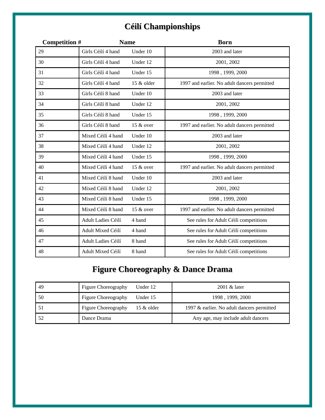## **Céilí Championships**

| <b>Competition #</b> |                    | <b>Name</b> | <b>Born</b>                                  |
|----------------------|--------------------|-------------|----------------------------------------------|
| 29                   | Girls Céilí 4 hand | Under 10    | 2003 and later                               |
| 30                   | Girls Céilí 4 hand | Under 12    | 2001, 2002                                   |
| 31                   | Girls Céilí 4 hand | Under 15    | 1998, 1999, 2000                             |
| 32                   | Girls Céilí 4 hand | 15 & older  | 1997 and earlier. No adult dancers permitted |
| 33                   | Girls Céilí 8 hand | Under 10    | 2003 and later                               |
| 34                   | Girls Céilí 8 hand | Under 12    | 2001, 2002                                   |
| 35                   | Girls Céilí 8 hand | Under 15    | 1998, 1999, 2000                             |
| 36                   | Girls Céilí 8 hand | 15 & over   | 1997 and earlier. No adult dancers permitted |
| 37                   | Mixed Céilí 4 hand | Under 10    | 2003 and later                               |
| 38                   | Mixed Céilí 4 hand | Under 12    | 2001, 2002                                   |
| 39                   | Mixed Céilí 4 hand | Under 15    | 1998, 1999, 2000                             |
| 40                   | Mixed Céilí 4 hand | 15 & over   | 1997 and earlier. No adult dancers permitted |
| 41                   | Mixed Céilí 8 hand | Under 10    | 2003 and later                               |
| 42                   | Mixed Céilí 8 hand | Under 12    | 2001, 2002                                   |
| 43                   | Mixed Céilí 8 hand | Under 15    | 1998, 1999, 2000                             |
| 44                   | Mixed Céilí 8 hand | 15 & over   | 1997 and earlier. No adult dancers permitted |
| 45                   | Adult Ladies Céilí | 4 hand      | See rules for Adult Céilí competitions       |
| 46                   | Adult Mixed Céilí  | 4 hand      | See rules for Adult Céilí competitions       |
| 47                   | Adult Ladies Céilí | 8 hand      | See rules for Adult Céilí competitions       |
| 48                   | Adult Mixed Céilí  | 8 hand      | See rules for Adult Céilí competitions       |

## **Figure Choreography & Dance Drama**

| 49 | Figure Choreography | Under 12   | 2001 & later                               |
|----|---------------------|------------|--------------------------------------------|
| 50 | Figure Choreography | Under 15   | 1998, 1999, 2000                           |
|    | Figure Choreography | 15 & older | 1997 & earlier. No adult dancers permitted |
| 52 | Dance Drama         |            | Any age, may include adult dancers         |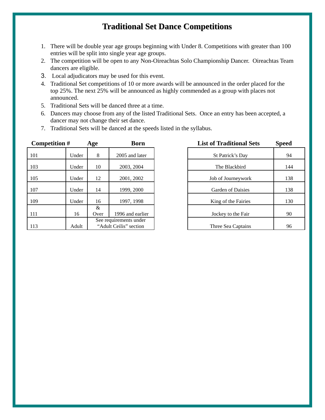### **Traditional Set Dance Competitions**

- 1. There will be double year age groups beginning with Under 8. Competitions with greater than 100 entries will be split into single year age groups.
- 2. The competition will be open to any Non-Oireachtas Solo Championship Dancer. Oireachtas Team dancers are eligible.
- 3. Local adjudicators may be used for this event.
- 4. Traditional Set competitions of 10 or more awards will be announced in the order placed for the top 25%. The next 25% will be announced as highly commended as a group with places not announced.
- 5. Traditional Sets will be danced three at a time.
- 6. Dancers may choose from any of the listed Traditional Sets. Once an entry has been accepted, a dancer may not change their set dance.
- 7. Traditional Sets will be danced at the speeds listed in the syllabus.

| <b>Competition #</b> |       | Age       | <b>Born</b>                                      | <b>List of Traditional Sets</b> | <b>Speed</b> |
|----------------------|-------|-----------|--------------------------------------------------|---------------------------------|--------------|
| 101                  | Under | 8         | 2005 and later                                   | St Patrick's Day                | 94           |
| 103                  | Under | 10        | 2003, 2004                                       | The Blackbird                   | 144          |
| 105                  | Under | 12        | 2001, 2002                                       | Job of Journeywork              | 138          |
| 107                  | Under | 14        | 1999, 2000                                       | <b>Garden of Daisies</b>        | 138          |
| 109                  | Under | 16        | 1997, 1998                                       | King of the Fairies             | 130          |
| 111                  | 16    | &<br>Over | 1996 and earlier                                 | Jockey to the Fair              | 90           |
| 113                  | Adult |           | See requirements under<br>"Adult Ceilis" section | Three Sea Captains              | 96           |

| ge                                               | Born             |                     | <b>List of Traditional Sets</b> | <b>Speed</b> |
|--------------------------------------------------|------------------|---------------------|---------------------------------|--------------|
| 8                                                | 2005 and later   |                     | St Patrick's Day                | 94           |
| 10                                               | 2003, 2004       |                     | The Blackbird                   | 144          |
| 12                                               | 2001, 2002       | Job of Journeywork  |                                 | 138          |
| 14                                               | 1999, 2000       | Garden of Daisies   |                                 | 138          |
| 16                                               | 1997, 1998       | King of the Fairies |                                 | 130          |
| 8 <sub>x</sub><br>Over                           | 1996 and earlier | Jockey to the Fair  |                                 | 90           |
| See requirements under<br>"Adult Ceilis" section |                  |                     | Three Sea Captains              | 96           |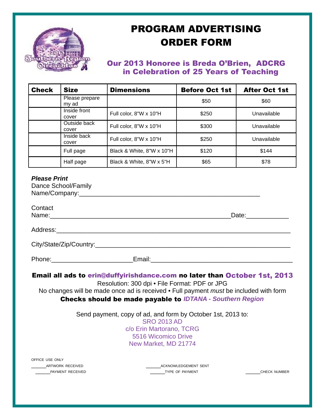

# PROGRAM ADVERTISING ORDER FORM

### Our 2013 Honoree is Breda O'Brien, ADCRG in Celebration of 25 Years of Teaching

| <b>Check</b> | <b>Size</b>             | <b>Dimensions</b>               | <b>Before Oct 1st</b> | <b>After Oct 1st</b> |
|--------------|-------------------------|---------------------------------|-----------------------|----------------------|
|              | Please prepare<br>my ad |                                 | \$50                  | \$60                 |
|              | Inside front<br>cover   | Full color, $8''W \times 10''H$ | \$250                 | Unavailable          |
|              | Outside back<br>cover   | Full color, $8''W \times 10''H$ | \$300                 | Unavailable          |
|              | Inside back<br>cover    | Full color, 8"W x 10"H          | \$250                 | Unavailable          |
|              | Full page               | Black & White, 8"W x 10"H       | \$120                 | \$144                |
|              | Half page               | Black & White, 8"W x 5"H        | \$65                  | \$78                 |

#### *Please Print*

| Dance School/Family |  |
|---------------------|--|
| Name/Company:       |  |

| Contact |                                                                                                    |                                                                           |
|---------|----------------------------------------------------------------------------------------------------|---------------------------------------------------------------------------|
|         |                                                                                                    |                                                                           |
|         |                                                                                                    |                                                                           |
|         |                                                                                                    |                                                                           |
|         | Phone: Email: Email:                                                                               |                                                                           |
|         | Resolution: 300 dpi . File Format: PDF or JPG                                                      | Email all ads to erin@duffyirishdance.com no later than October 1st, 2013 |
|         | No changes will be made once ad is received $\cdot$ Full payment <i>must</i> be included with form |                                                                           |

### Checks should be made payable to *IDTANA - Southern Region*

Send payment, copy of ad, and form by October 1st, 2013 to: SRO 2013 AD c/o Erin Martorano, TCRG 5516 Wicomico Drive New Market, MD 21774

OFFICE USE ONLY

ARTWORK RECEIVED **Example 20 and 20 acknowledgement** SENT PAYMENT RECEIVED **Example 20 THE OF PAYMENT** TYPE OF PAYMENT **THE CHECK NUMBER**